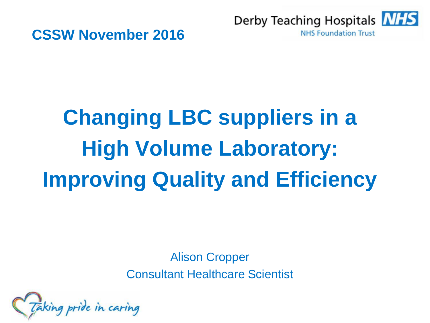



# **Changing LBC suppliers in a High Volume Laboratory: Improving Quality and Efficiency**

Alison Cropper Consultant Healthcare Scientist

aking pride in caring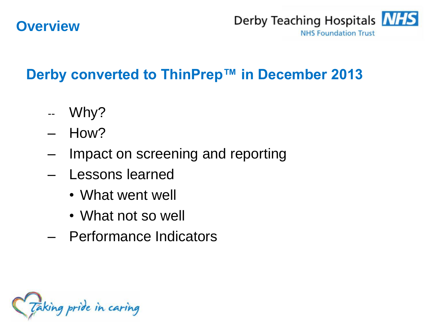#### **Overview**



# Derby converted to ThinPrep<sup>™</sup> in December 2013

- -- Why?
- How?
- Impact on screening and reporting
- Lessons learned
	- What went well
	- What not so well
- Performance Indicators

Taking pride in caring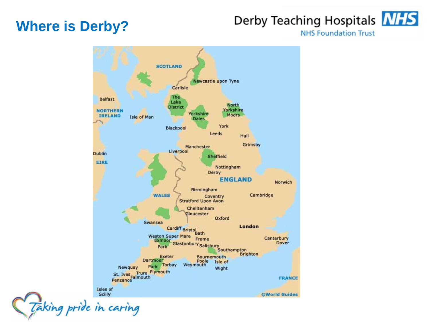#### **Where is Derby?**

#### Derby Teaching Hospitals **NHS**

**NHS Foundation Trust** 



Taking pride in caring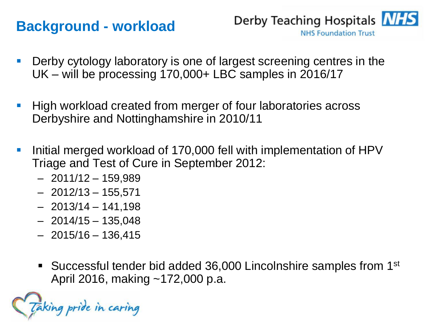#### **Background - workload**



- Derby cytology laboratory is one of largest screening centres in the UK – will be processing 170,000+ LBC samples in 2016/17
- High workload created from merger of four laboratories across Derbyshire and Nottinghamshire in 2010/11
- Initial merged workload of 170,000 fell with implementation of HPV Triage and Test of Cure in September 2012:
	- 2011/12 159,989
	- 2012/13 155,571
	- 2013/14 141,198
	- 2014/15 135,048
	- 2015/16 136,415
	- Successful tender bid added 36,000 Lincolnshire samples from 1<sup>st</sup> April 2016, making ~172,000 p.a.

king pride in caring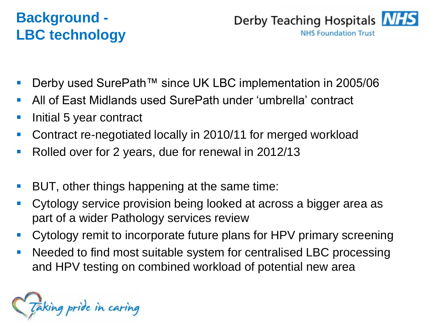# **Background - LBC technology**



- Derby used SurePath™ since UK LBC implementation in 2005/06
- All of East Midlands used SurePath under 'umbrella' contract
- Initial 5 year contract
- Contract re-negotiated locally in 2010/11 for merged workload
- Rolled over for 2 years, due for renewal in 2012/13
- BUT, other things happening at the same time:
- Cytology service provision being looked at across a bigger area as part of a wider Pathology services review
- Cytology remit to incorporate future plans for HPV primary screening
- Needed to find most suitable system for centralised LBC processing and HPV testing on combined workload of potential new area

Taking pride in caring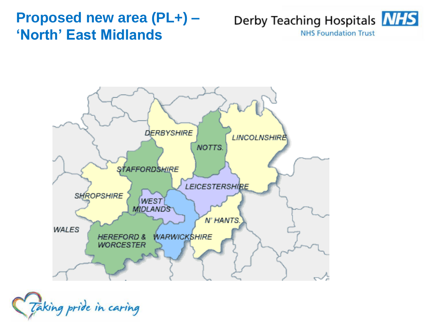#### **Proposed new area (PL+) – 'North' East Midlands**





Taking pride in caring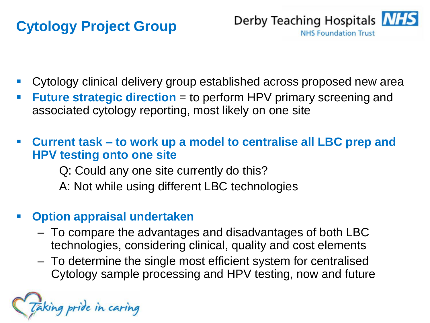# **Cytology Project Group**



- Cytology clinical delivery group established across proposed new area
- **Future strategic direction** = to perform HPV primary screening and associated cytology reporting, most likely on one site
- **Current task – to work up a model to centralise all LBC prep and HPV testing onto one site**
	- Q: Could any one site currently do this?
	- A: Not while using different LBC technologies

#### **Option appraisal undertaken**

- To compare the advantages and disadvantages of both LBC technologies, considering clinical, quality and cost elements
- To determine the single most efficient system for centralised Cytology sample processing and HPV testing, now and future

aking pride in caring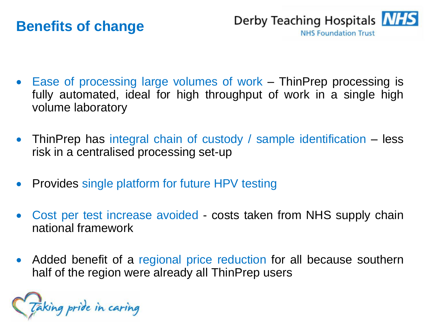#### **Benefits of change**



- Ease of processing large volumes of work ThinPrep processing is fully automated, ideal for high throughput of work in a single high volume laboratory
- ThinPrep has integral chain of custody / sample identification less risk in a centralised processing set-up
- Provides single platform for future HPV testing
- Cost per test increase avoided costs taken from NHS supply chain national framework
- Added benefit of a regional price reduction for all because southern half of the region were already all ThinPrep users

Taking pride in caring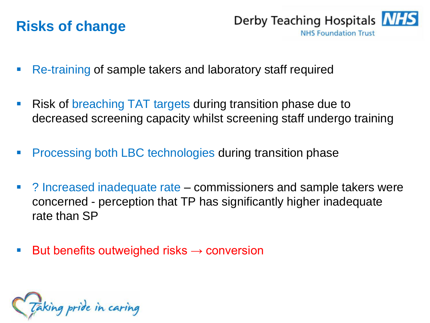### **Risks of change**

Derby Teaching Hospitals **NHS NHS Foundation Trust** 

- Re-training of sample takers and laboratory staff required
- Risk of breaching TAT targets during transition phase due to decreased screening capacity whilst screening staff undergo training
- Processing both LBC technologies during transition phase
- ? Increased inadequate rate commissioners and sample takers were concerned - perception that TP has significantly higher inadequate rate than SP
- But benefits outweighed risks  $\rightarrow$  conversion

Taking pride in caring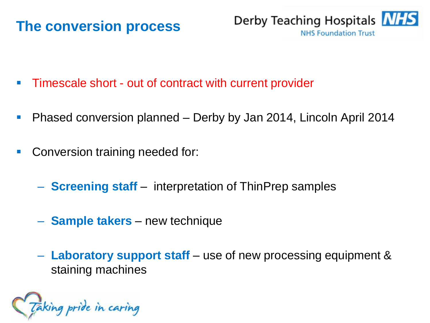#### **The conversion process**



- Timescale short out of contract with current provider
- Phased conversion planned Derby by Jan 2014, Lincoln April 2014
- Conversion training needed for:
	- **Screening staff** interpretation of ThinPrep samples
	- **Sample takers** new technique
	- **Laboratory support staff** use of new processing equipment & staining machines

Taking pride in caring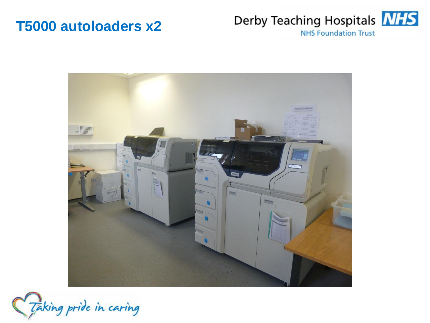#### **T5000 autoloaders x2**





Taking pride in caring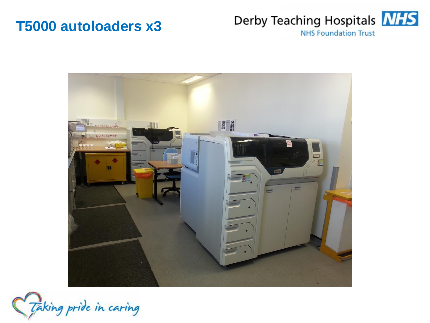#### **T5000 autoloaders x3**

# Derby Teaching Hospitals **NHS**

**NHS Foundation Trust** 



Taking pride in caring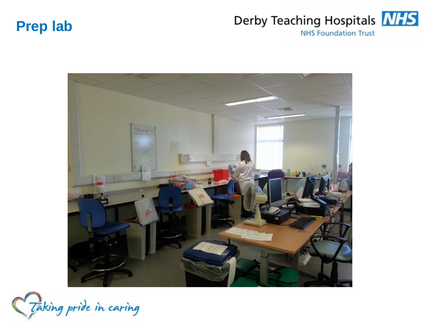#### **Prep lab**

#### Derby Teaching Hospitals NHS **NHS Foundation Trust**



Taking pride in caring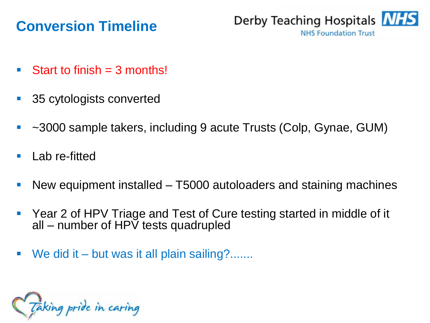### **Conversion Timeline**



- Start to finish  $=$  3 months!
- 35 cytologists converted
- ~3000 sample takers, including 9 acute Trusts (Colp, Gynae, GUM)
- Lab re-fitted
- New equipment installed T5000 autoloaders and staining machines
- Year 2 of HPV Triage and Test of Cure testing started in middle of it all – number of  $HP\bar{V}$  tests quadrupled
- We did it but was it all plain sailing?.......

Taking pride in caring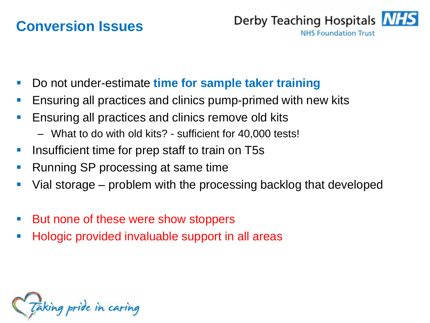#### **Conversion Issues**



- Do not under-estimate **time for sample taker training**
- Ensuring all practices and clinics pump-primed with new kits
- Ensuring all practices and clinics remove old kits
	- What to do with old kits? sufficient for 40,000 tests!
- Insufficient time for prep staff to train on T5s
- Running SP processing at same time
- Vial storage problem with the processing backlog that developed
- But none of these were show stoppers
- Hologic provided invaluable support in all areas

Taking pride in caring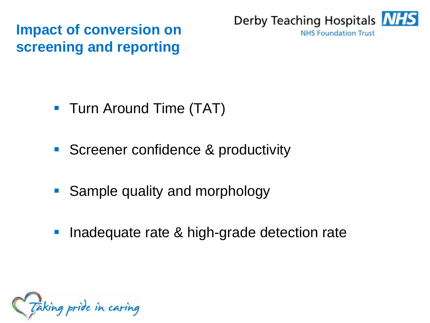**Impact of conversion on screening and reporting**



- **Turn Around Time (TAT)**
- Screener confidence & productivity
- **Sample quality and morphology**
- **Inadequate rate & high-grade detection rate**

Taking pride in caring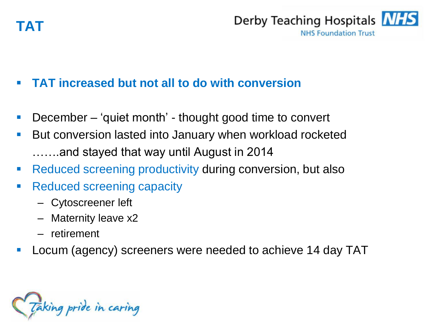



#### **TAT increased but not all to do with conversion**

- December 'quiet month' thought good time to convert
- But conversion lasted into January when workload rocketed …….and stayed that way until August in 2014
- Reduced screening productivity during conversion, but also
- Reduced screening capacity
	- Cytoscreener left
	- Maternity leave x2
	- retirement
- Locum (agency) screeners were needed to achieve 14 day TAT

Taking pride in caring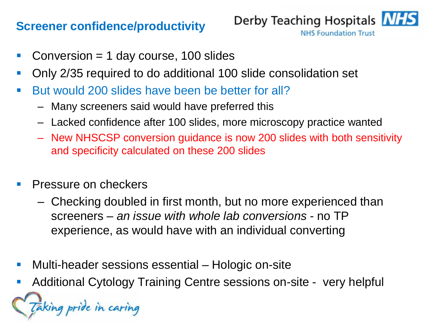#### **Screener confidence/productivity**



- Conversion = 1 day course, 100 slides
- Only 2/35 required to do additional 100 slide consolidation set
- But would 200 slides have been be better for all?
	- Many screeners said would have preferred this
	- Lacked confidence after 100 slides, more microscopy practice wanted
	- New NHSCSP conversion guidance is now 200 slides with both sensitivity and specificity calculated on these 200 slides
- Pressure on checkers
	- Checking doubled in first month, but no more experienced than screeners – *an issue with whole lab conversions* - no TP experience, as would have with an individual converting
- Multi-header sessions essential Hologic on-site
- Additional Cytology Training Centre sessions on-site very helpful

Taking pride in caring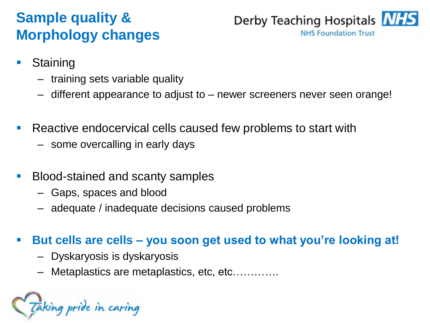# **Sample quality & Morphology changes**



- **Staining** 
	- training sets variable quality
	- different appearance to adjust to newer screeners never seen orange!
- Reactive endocervical cells caused few problems to start with
	- some overcalling in early days
- Blood-stained and scanty samples
	- Gaps, spaces and blood
	- adequate / inadequate decisions caused problems

#### **But cells are cells – you soon get used to what you're looking at!**

- Dyskaryosis is dyskaryosis
- Metaplastics are metaplastics, etc, etc………….

aking pride in caring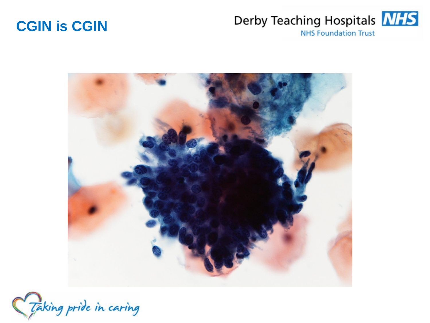#### **CGIN is CGIN**

#### Derby Teaching Hospitals **NHS NHS Foundation Trust**



Taking pride in caring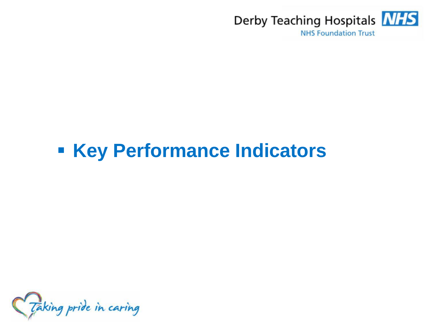

# **Key Performance Indicators**

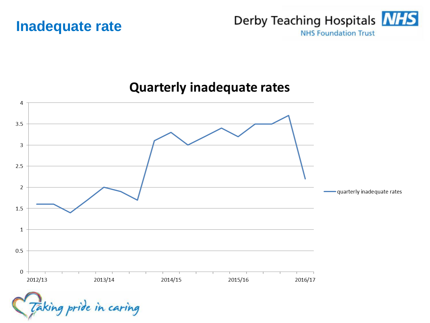



#### **Quarterly inadequate rates**

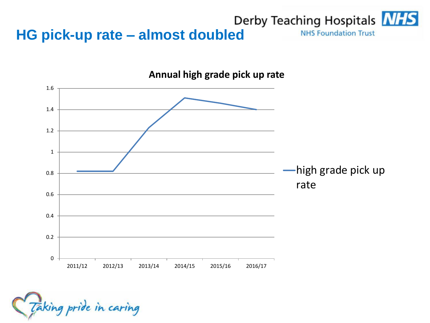#### **HG pick-up rate – almost doubled** Derby Teaching Hospitals **NHS**<br>MHS Foundation Trust **NHS Foundation Trust**



**Annual high grade pick up rate**

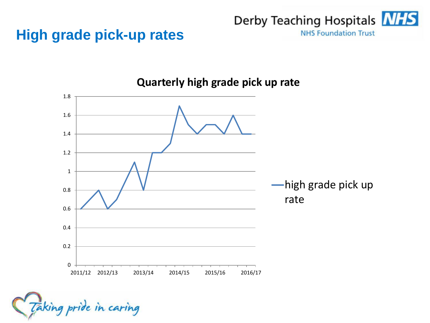### **High grade pick-up rates**





**Quarterly high grade pick up rate**

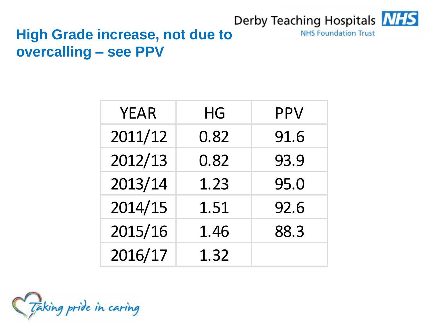#### Derby Teaching Hospitals **NHS**

**NHS Foundation Trust** 

# **High Grade increase, not due to overcalling – see PPV**

| <b>YEAR</b> | HG   | PPV  |
|-------------|------|------|
| 2011/12     | 0.82 | 91.6 |
| 2012/13     | 0.82 | 93.9 |
| 2013/14     | 1.23 | 95.0 |
| 2014/15     | 1.51 | 92.6 |
| 2015/16     | 1.46 | 88.3 |
| 2016/17     | 1.32 |      |

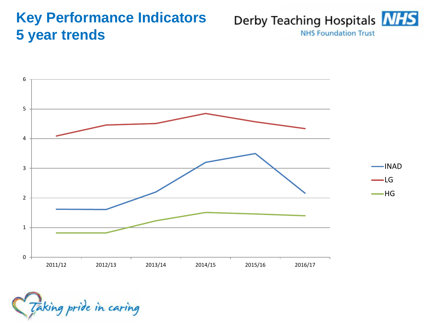#### **Key Performance Indicators 5 year trends**

Derby Teaching Hospitals **NHS NHS Foundation Trust** 



Taking pride in caring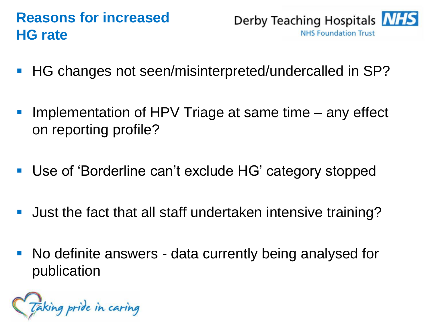# **Reasons for increased HG rate**



- HG changes not seen/misinterpreted/undercalled in SP?
- Implementation of HPV Triage at same time any effect on reporting profile?
- Use of 'Borderline can't exclude HG' category stopped
- Just the fact that all staff undertaken intensive training?
- No definite answers data currently being analysed for publication

Taking pride in caring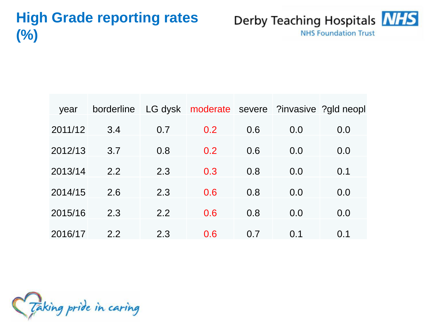# **High Grade reporting rates (%)**



| year    | borderline       |     | LG dysk moderate severe ?invasive ?gld neopl |     |     |     |
|---------|------------------|-----|----------------------------------------------|-----|-----|-----|
| 2011/12 | 3.4              | 0.7 | 0.2                                          | 0.6 | 0.0 | 0.0 |
| 2012/13 | 3.7              | 0.8 | 0.2                                          | 0.6 | 0.0 | 0.0 |
| 2013/14 | 2.2              | 2.3 | 0.3                                          | 0.8 | 0.0 | 0.1 |
| 2014/15 | 2.6              | 2.3 | 0.6                                          | 0.8 | 0.0 | 0.0 |
|         |                  |     |                                              |     |     |     |
| 2015/16 | 2.3              | 2.2 | 0.6                                          | 0.8 | 0.0 | 0.0 |
| 2016/17 | $2.2\phantom{0}$ | 2.3 | 0.6                                          | 0.7 | 0.1 | 0.1 |

Taking pride in caring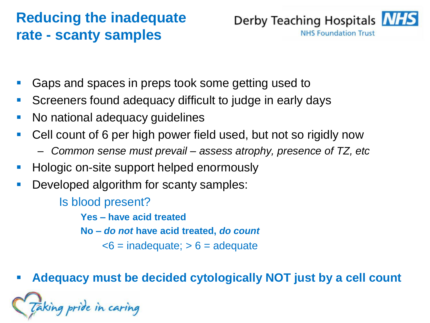# **Reducing the inadequate rate - scanty samples**



- Gaps and spaces in preps took some getting used to
- Screeners found adequacy difficult to judge in early days
- No national adequacy guidelines
- Cell count of 6 per high power field used, but not so rigidly now
	- *Common sense must prevail – assess atrophy, presence of TZ, etc*
- Hologic on-site support helped enormously
- Developed algorithm for scanty samples:
	- Is blood present?
		- **Yes – have acid treated**
		- **No –** *do not* **have acid treated,** *do count*
			- $\leq 6$  = inadequate;  $> 6$  = adequate
- **Adequacy must be decided cytologically NOT just by a cell count**

king pride in caring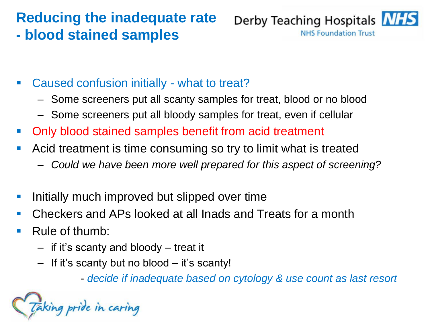# **Reducing the inadequate rate - blood stained samples**



- Caused confusion initially what to treat?
	- Some screeners put all scanty samples for treat, blood or no blood
	- Some screeners put all bloody samples for treat, even if cellular
- Only blood stained samples benefit from acid treatment
- Acid treatment is time consuming so try to limit what is treated
	- *Could we have been more well prepared for this aspect of screening?*
- Initially much improved but slipped over time
- Checkers and APs looked at all Inads and Treats for a month
- Rule of thumb:
	- if it's scanty and bloody treat it
	- If it's scanty but no blood it's scanty!

- *decide if inadequate based on cytology & use count as last resort*

aking pride in caring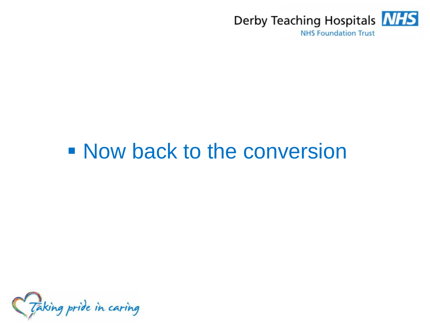

# **Now back to the conversion**

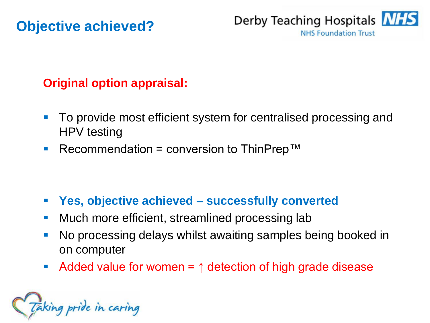#### **Objective achieved?**



#### **Original option appraisal:**

- To provide most efficient system for centralised processing and HPV testing
- Recommendation = conversion to ThinPrep<sup>™</sup>

- **Yes, objective achieved – successfully converted**
- **Nuch more efficient, streamlined processing lab**
- No processing delays whilst awaiting samples being booked in on computer
- Added value for women = ↑ detection of high grade disease

Taking pride in caring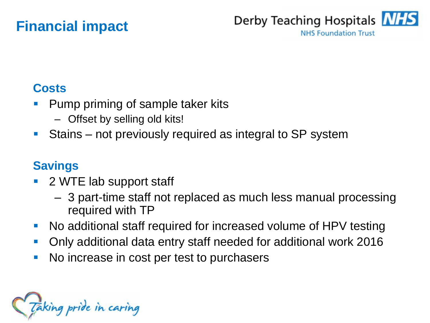### **Financial impact**



#### **Costs**

- Pump priming of sample taker kits
	- Offset by selling old kits!
- Stains not previously required as integral to SP system

#### **Savings**

- 2 WTE lab support staff
	- 3 part-time staff not replaced as much less manual processing required with TP
- No additional staff required for increased volume of HPV testing
- Only additional data entry staff needed for additional work 2016
- No increase in cost per test to purchasers

Taking pride in caring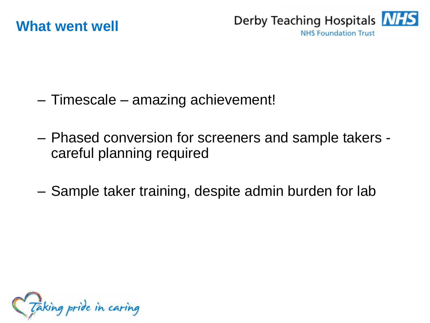

- Timescale amazing achievement!
- Phased conversion for screeners and sample takers careful planning required
- Sample taker training, despite admin burden for lab

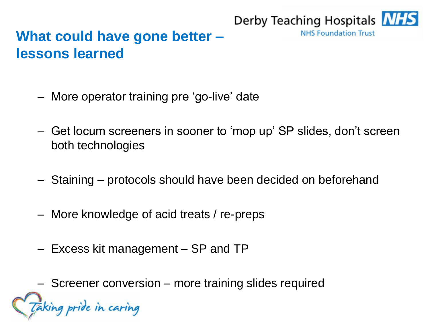# **What could have gone better – lessons learned**

- More operator training pre 'go-live' date
- Get locum screeners in sooner to 'mop up' SP slides, don't screen both technologies

Derby Teaching Hospitals **NHS** 

**NHS Foundation Trust** 

- Staining protocols should have been decided on beforehand
- More knowledge of acid treats / re-preps
- Excess kit management SP and TP

– Screener conversion – more training slides requiredking pride in caring